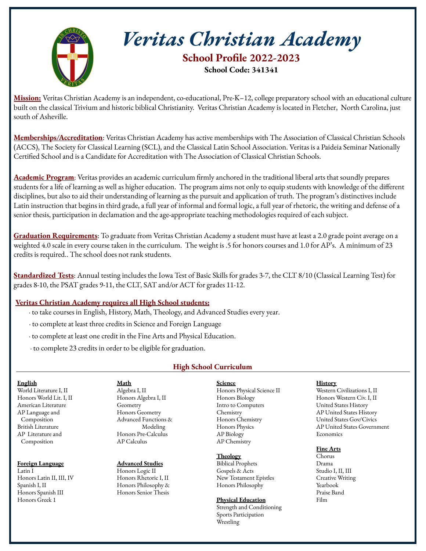

# *Veritas Christian Academy*

**School Profile 2022-2023 School Code: 341341**

**Mission:** Veritas Christian Academy is an independent, co-educational, Pre-K–12, college preparatory school with an educational culture built on the classical Trivium and historic biblical Christianity. Veritas Christian Academy is located in Fletcher, North Carolina, just south of Asheville.

**Memberships/Accreditation**: Veritas Christian Academy has active memberships with The Association of Classical Christian Schools (ACCS), The Society for Classical Learning (SCL), and the Classical Latin School Association. Veritas is a Paideia Seminar Nationally Certified School and is a Candidate for Accreditation with The Association of Classical Christian Schools.

**Academic Program**: Veritas provides an academic curriculum firmly anchored in the traditional liberal arts that soundly prepares students for a life of learning as well as higher education. The program aims not only to equip students with knowledge of the different disciplines, but also to aid their understanding of learning as the pursuit and application of truth. The program's distinctives include Latin instruction that begins in third grade, a full year of informal and formal logic, a full year of rhetoric, the writing and defense of a senior thesis, participation in declamation and the age-appropriate teaching methodologies required of each subject.

**Graduation Requirements**: To graduate from Veritas Christian Academy a student must have at least a 2.0 grade point average on a weighted 4.0 scale in every course taken in the curriculum. The weight is .5 for honors courses and 1.0 for AP's. A minimum of 23 credits is required.. The school does not rank students.

**Standardized Tests**: Annual testing includes the Iowa Test of Basic Skills for grades 3-7, the CLT 8/10 (Classical Learning Test) for grades 8-10, the PSAT grades 9-11, the CLT, SAT and/or ACT for grades 11-12.

# **Veritas Christian Academy requires all High School students:**

- · to take courses in English, History, Math, Theology, and Advanced Studies every year.
- · to complete at least three credits in Science and Foreign Language
- · to complete at least one credit in the Fine Arts and Physical Education.
- · to complete 23 credits in order to be eligible for graduation.

# **High School Curriculum**

## **English**

World Literature I, II Honors World Lit. I, II American Literature AP Language and Composition British Literature AP Literature and Composition

## **Foreign Language**

Latin I Honors Latin II, III, IV Spanish I, II Honors Spanish III Honors Greek 1

#### **Math** Algebra I, II Honors Algebra I, II Geometry Honors Geometry Advanced Functions & Modeling Honors Pre-Calculus AP Calculus

#### **Advanced Studies** Honors Logic II Honors Rhetoric I, II Honors Philosophy & Honors Senior Thesis

**Science** Honors Physical Science II Honors Biology Intro to Computers Chemistry Honors Chemistry Honors Physics AP Biology AP Chemistry

## **Theology**

Biblical Prophets Gospels & Acts New Testament Epistles Honors Philosophy

## **Physical Education**

Strength and Conditioning Sports Participation Wrestling

## **History**

Western Civilizations I, II Honors Western Civ. I, II United States History AP United States History United States Gov/Civics AP United States Government Economics

## **Fine Arts**

Chorus Drama Studio I, II, III Creative Writing Yearbook Praise Band Film